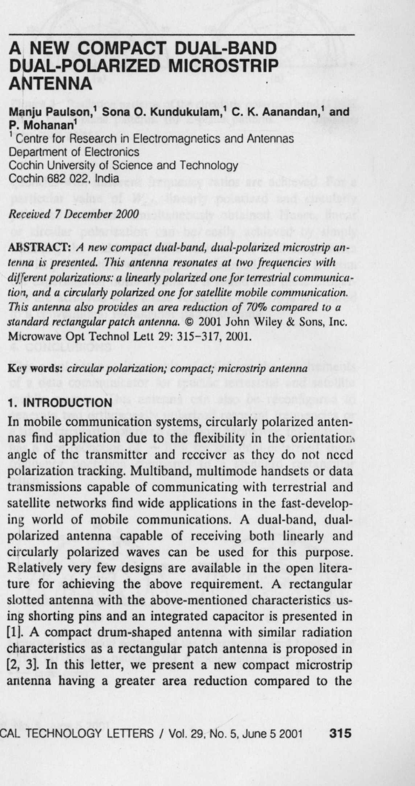# **A NEW COMPACT DUAL-BAND DUAL**-**POLARIZED MICROSTRIP ANTENNA**

**Manju Paulson** ,' **Sona O**. **Kundukulam**,' **C. K. Aanandan,' and P. Mohanan'** Centre for Research in Electromagnetics and Antennas Department of Electronics

Cochin University of Science and Technology Cochin 682 022, India

Received 7 December 2000

ABSTRACT: *A new compact dual-band, dual-polarized microstrip antenna* is *presented.* 7'**iris** *antenna resonates at two frequencies with different polarizations: a linearly polarized one for terrestrial communication, and a circularly polarized one for satellite mobile communication. This antenna also provides an area reduction of 70% compared to a standard rectangular patch antenna. ©* 2001 John Wiley & Sons, Inc. Microwave Opt Technol Lett 29: 315-317, 2001.

**Key words**: *circular polarization; compact; microstrip antenna*

### **1. INTRODUCTION**

In mobile communication systems, circularly polarized antennas find application due to the flexibility in the orientation. angle of the transmitter and receiver as they do not need polarization tracking. Multiband, multimode handsets or data transmissions capable of communicating with terrestrial and satellite networks find wide applications in the fast-developing world of mobile communications. A dual-band, dualpolarized antenna capable of receiving both linearly and circularly polarized waves can he used for this purpose. Relatively very few designs **are available** in the open literature for achieving the above requirement. A rectangular **slotted antenna** with the above-mentioned characteristics using shorting **pins and an** integrated capacitor is presented in [1]. A compact drum-shaped antenna with similar radiation characteristics as a rectangular patch antenna is proposed in [2, 3]. In this letter, we present a new compact microstrip **antenna having a greater** area reduction compared to the

CAL TECHNOLOGY LETTERS / **Vol. 29** . **No. 5, June 5 2001 315**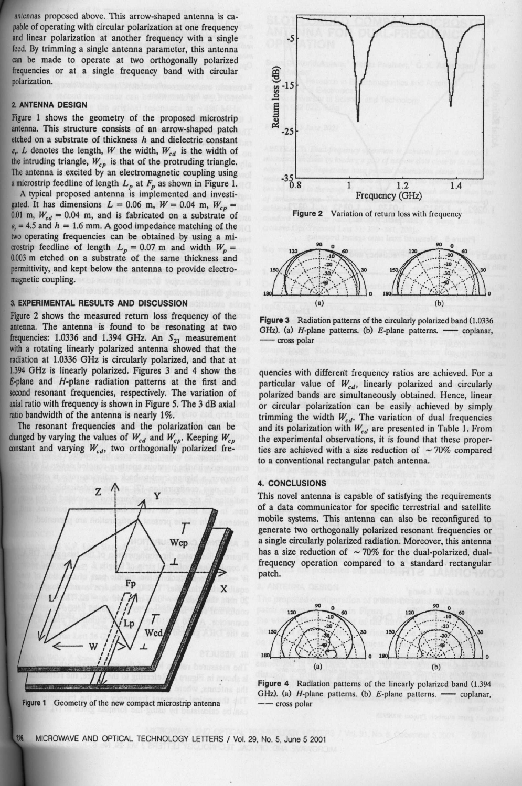antennas proposed above. This arrow-shaped antenna is capable of operating with circular polarization at one frequency and linear polarization at another frequency with a single feed. By trimming a single antenna parameter, this antenna can be made to operate at two orthogonally polarized frequencies or at a single frequency band with circular polarization.

# **2. ANTENNA DESIGN**

Figure 1 shows the geometry of the proposed microstrip antenna. This structure consists of an arrow-shaped patch etched on a substrate of thickness  $h$  and dielectric constant  $\varepsilon_r$ . *L* denotes the length, *W* the width,  $W_{cd}$  is the width of the intruding triangle,  $W_{cp}$  is that of the protruding triangle. The antenna is excited by an electromagnetic coupling using

a microstrip feedline of length  $L_p$  at  $F_p$  as shown in Figure 1.<br>A typical proposed antenna is implemented and investigated. It has dimensions  $L = 0.06$  m,  $W = 0.04$  m,  $W_{cp} =$ 0.01 m,  $W_{cd} = 0.04$  m, and is fabricated on a substrate of  $\varepsilon$ <sub>r</sub> = 4.5 and  $h = 1.6$  mm. A good impedance matching of the two operating frequencies can be obtained by using a microstrip feedline of length  $L_p = 0.07$  m and width  $W_p =$ 0.003 m etched on a substrate of the same thickness and permittivity, and kept below the antenna to provide electromagnetic coupling.

#### **3. EXPERIMENTAL RESULTS AND DISCUSSION**

Figure 2 shows the measured return loss frequency of the **antenna**. The antenna is found to be resonating at two frequencies: 1.0336 and 1.394 GHz. An  $S_{21}$  measurement with a rotating linearly polarized antenna showed that the radiation at 1.0336 GHz is circularly polarized, and that at 1.394 GHz is linearly polarized. Figures 3 and 4 show the E-plane and H-plane radiation patterns at the first and second resonant frequencies, respectively. The variation of axial ratio with frequency is shown in Figure 5. The 3 dB axial ratio bandwidth of the antenna is nearly  $1\%$ .

The resonant frequencies and the polarization can be changed by varying the values of  $W_{cd}$  and  $W_{cp}$ . Keeping  $W_{cp}$ constant and varying  $W_{cd}$ , two orthogonally polarized fre-



**Figure** 1 Geometry of the new compact microstrip **antenna**







**Figure 3** Radiation patterns of the circularly polarized hand (1.0336 GHz). (a)  $H$ -plane patterns. (b)  $E$ -plane patterns. — coplanar, cross polar

quencies with different frequency ratios are achieved. For a particular value of  $W_{cd}$ , linearly polarized and circularly polarized bands are simultaneously obtained. Hence, linear or circular polarization can be easily achieved by simply trimming the width  $W_{cd}$ . The variation of dual frequencies and its polarization with  $W_{cd}$  are presented in Table 1. From the experimental observations, it is found that these properties are achieved with a size reduction of  $\sim$  70% compared to a conventional rectangular patch antenna.

#### **4. CONCLUSIONS**

This novel antenna is capable of satisfying the requirements of a data communicator for specific terrestrial and satellite mobile systems. This antenna can also be reconfigured to generate two orthogonally polarized resonant frequencies or a single circularly polarized radiation. Moreover, this antenna has a size reduction of  $\sim$  70% for the dual-polarized, dualfrequency operation compared to a standard rectangular patch.



**Figure 4** Radiation patterns of the linearly polarized band (1.394 GHz). (a)  $H$ -plane patterns. (b)  $E$ -plane patterns. — coplanar, - cross polar